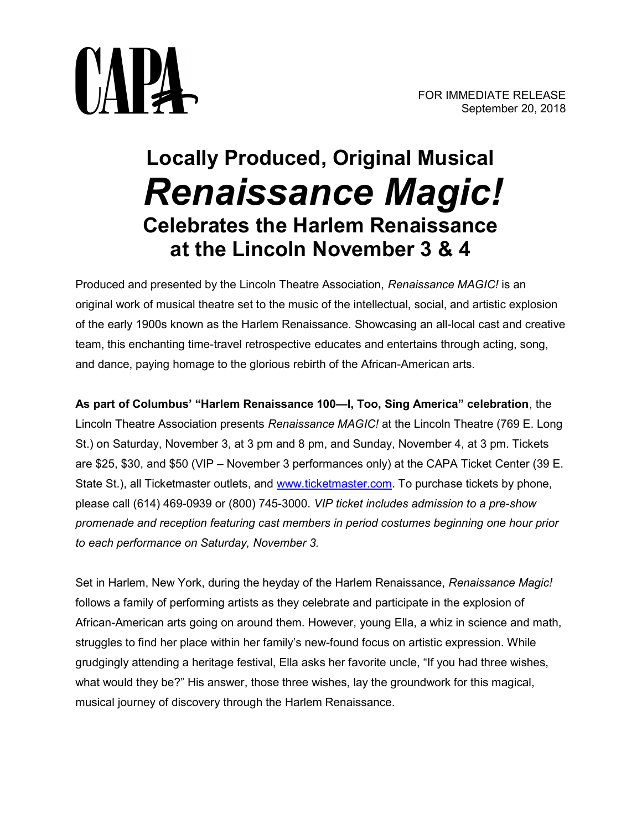

# Locally Produced, Original Musical Renaissance Magic! Celebrates the Harlem Renaissance at the Lincoln November 3 & 4

Produced and presented by the Lincoln Theatre Association, Renaissance MAGIC! is an original work of musical theatre set to the music of the intellectual, social, and artistic explosion of the early 1900s known as the Harlem Renaissance. Showcasing an all-local cast and creative team, this enchanting time-travel retrospective educates and entertains through acting, song, and dance, paying homage to the glorious rebirth of the African-American arts.

As part of Columbus' "Harlem Renaissance 100—I, Too, Sing America" celebration, the Lincoln Theatre Association presents Renaissance MAGIC! at the Lincoln Theatre (769 E. Long St.) on Saturday, November 3, at 3 pm and 8 pm, and Sunday, November 4, at 3 pm. Tickets are \$25, \$30, and \$50 (VIP – November 3 performances only) at the CAPA Ticket Center (39 E. State St.), all Ticketmaster outlets, and www.ticketmaster.com. To purchase tickets by phone, please call (614) 469-0939 or (800) 745-3000. VIP ticket includes admission to a pre-show promenade and reception featuring cast members in period costumes beginning one hour prior to each performance on Saturday, November 3.

Set in Harlem, New York, during the heyday of the Harlem Renaissance, Renaissance Magic! follows a family of performing artists as they celebrate and participate in the explosion of African-American arts going on around them. However, young Ella, a whiz in science and math, struggles to find her place within her family's new-found focus on artistic expression. While grudgingly attending a heritage festival, Ella asks her favorite uncle, "If you had three wishes, what would they be?" His answer, those three wishes, lay the groundwork for this magical, musical journey of discovery through the Harlem Renaissance.